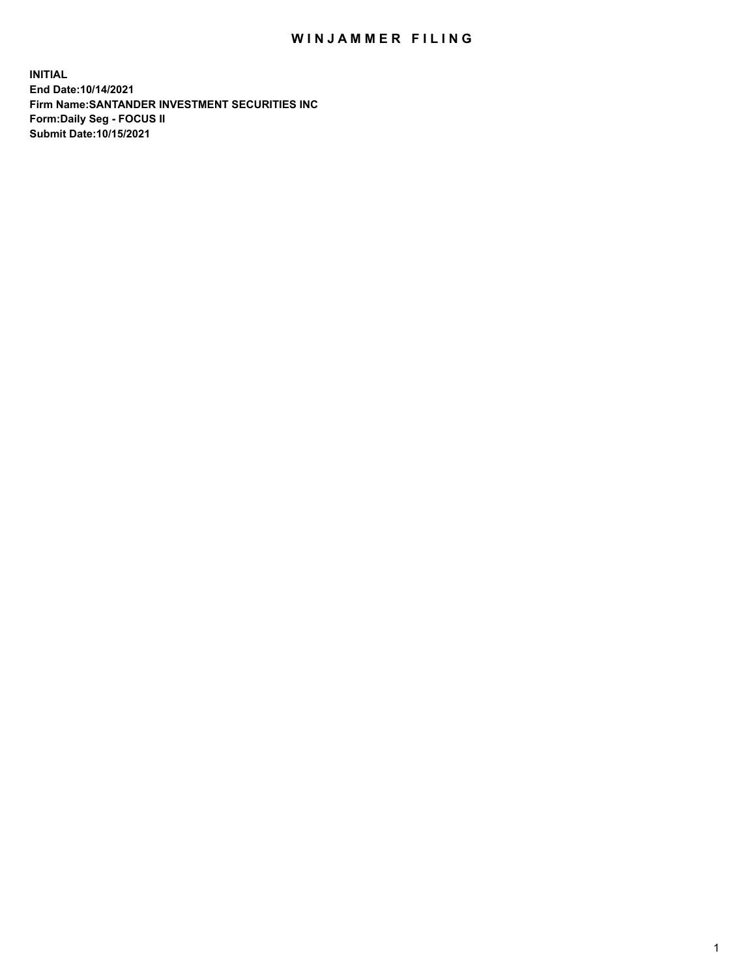## WIN JAMMER FILING

**INITIAL End Date:10/14/2021 Firm Name:SANTANDER INVESTMENT SECURITIES INC Form:Daily Seg - FOCUS II Submit Date:10/15/2021**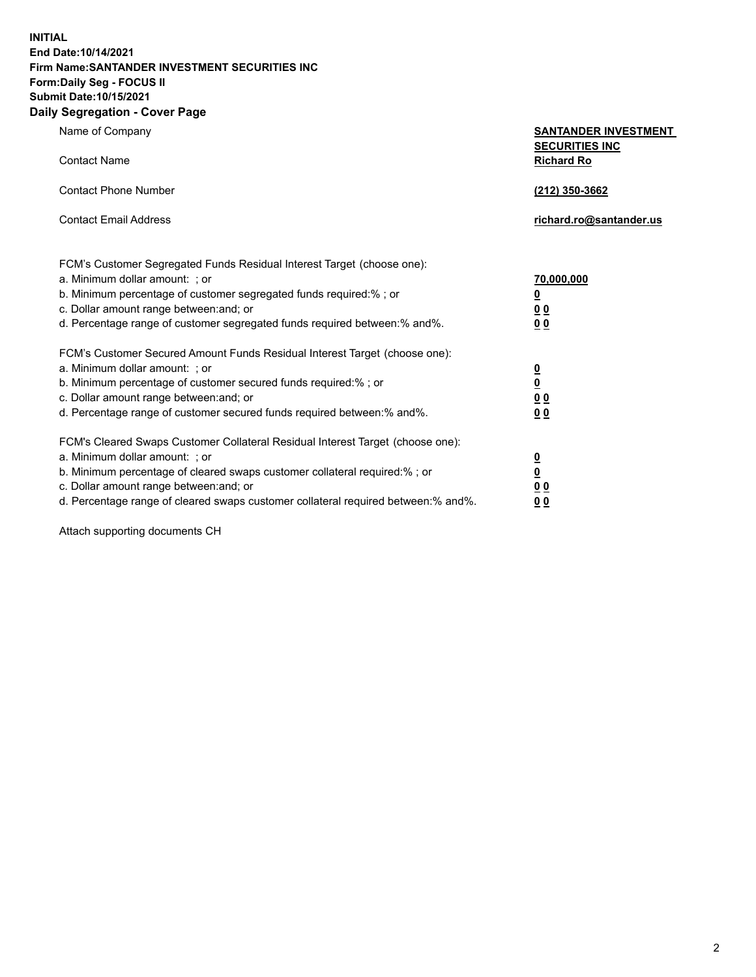**INITIAL End Date:10/14/2021 Firm Name:SANTANDER INVESTMENT SECURITIES INC Form:Daily Seg - FOCUS II Submit Date:10/15/2021 Daily Segregation - Cover Page**

Name of Company **SANTANDER INVESTMENT SECURITIES INC** Contact Name **Richard Ro** Contact Phone Number **(212) 350-3662** Contact Email Address **richard.ro@santander.us** FCM's Customer Segregated Funds Residual Interest Target (choose one): a. Minimum dollar amount: ; or **70,000,000** b. Minimum percentage of customer segregated funds required:% ; or **0** c. Dollar amount range between:and; or **0 0** d. Percentage range of customer segregated funds required between:% and%. **0 0** FCM's Customer Secured Amount Funds Residual Interest Target (choose one): a. Minimum dollar amount: ; or **0** b. Minimum percentage of customer secured funds required:% ; or **0** c. Dollar amount range between:and; or **0 0** d. Percentage range of customer secured funds required between:% and%. **0 0** FCM's Cleared Swaps Customer Collateral Residual Interest Target (choose one): a. Minimum dollar amount: ; or **0** b. Minimum percentage of cleared swaps customer collateral required:% ; or **0** c. Dollar amount range between:and; or **0 0** d. Percentage range of cleared swaps customer collateral required between:% and%. **0 0**

Attach supporting documents CH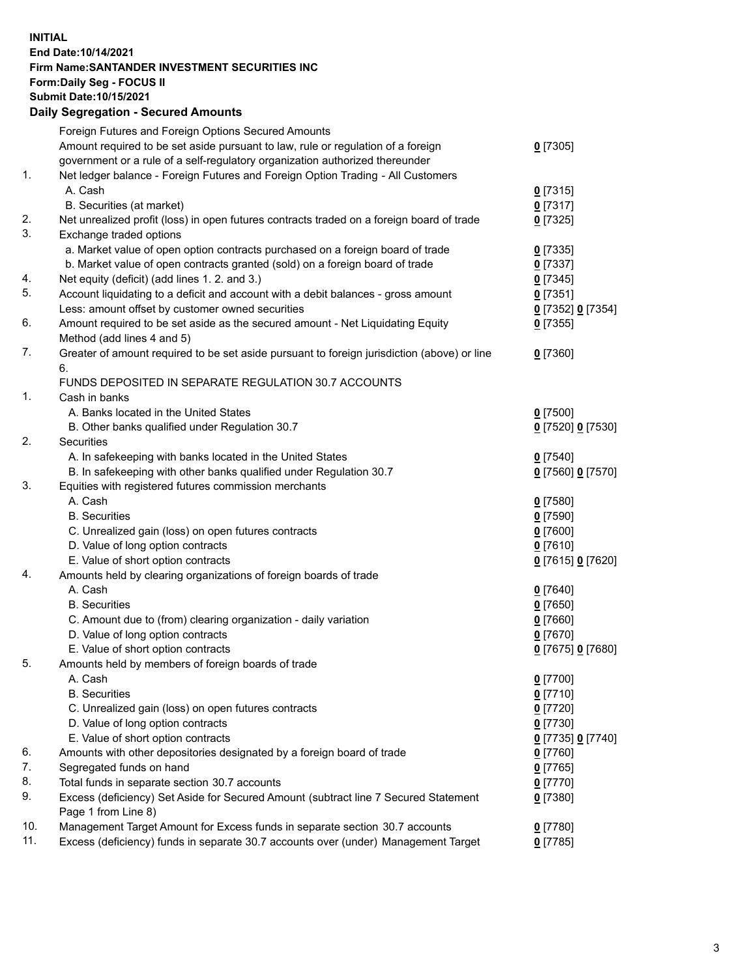## **INITIAL End Date:10/14/2021 Firm Name:SANTANDER INVESTMENT SECURITIES INC Form:Daily Seg - FOCUS II Submit Date:10/15/2021 Daily Segregation - Secured Amounts**

|     | Foreign Futures and Foreign Options Secured Amounts                                         |                   |
|-----|---------------------------------------------------------------------------------------------|-------------------|
|     | Amount required to be set aside pursuant to law, rule or regulation of a foreign            | $0$ [7305]        |
|     | government or a rule of a self-regulatory organization authorized thereunder                |                   |
| 1.  | Net ledger balance - Foreign Futures and Foreign Option Trading - All Customers             |                   |
|     | A. Cash                                                                                     | $0$ [7315]        |
|     | B. Securities (at market)                                                                   | $0$ [7317]        |
| 2.  | Net unrealized profit (loss) in open futures contracts traded on a foreign board of trade   | $0$ [7325]        |
| 3.  | Exchange traded options                                                                     |                   |
|     | a. Market value of open option contracts purchased on a foreign board of trade              | $0$ [7335]        |
|     | b. Market value of open contracts granted (sold) on a foreign board of trade                | $0$ [7337]        |
| 4.  | Net equity (deficit) (add lines 1. 2. and 3.)                                               | $0$ [7345]        |
| 5.  | Account liquidating to a deficit and account with a debit balances - gross amount           | $0$ [7351]        |
|     | Less: amount offset by customer owned securities                                            | 0 [7352] 0 [7354] |
| 6.  | Amount required to be set aside as the secured amount - Net Liquidating Equity              | $0$ [7355]        |
|     | Method (add lines 4 and 5)                                                                  |                   |
| 7.  | Greater of amount required to be set aside pursuant to foreign jurisdiction (above) or line | $0$ [7360]        |
|     | 6.                                                                                          |                   |
|     | FUNDS DEPOSITED IN SEPARATE REGULATION 30.7 ACCOUNTS                                        |                   |
| 1.  | Cash in banks                                                                               |                   |
|     | A. Banks located in the United States                                                       | $0$ [7500]        |
|     | B. Other banks qualified under Regulation 30.7                                              | 0 [7520] 0 [7530] |
| 2.  | <b>Securities</b>                                                                           |                   |
|     | A. In safekeeping with banks located in the United States                                   | $0$ [7540]        |
|     | B. In safekeeping with other banks qualified under Regulation 30.7                          | 0 [7560] 0 [7570] |
| 3.  | Equities with registered futures commission merchants                                       |                   |
|     | A. Cash                                                                                     | $0$ [7580]        |
|     | <b>B.</b> Securities                                                                        | <u>0</u> [7590]   |
|     | C. Unrealized gain (loss) on open futures contracts                                         | 0 [7600]          |
|     | D. Value of long option contracts                                                           | $0$ [7610]        |
|     | E. Value of short option contracts                                                          | 0 [7615] 0 [7620] |
| 4.  | Amounts held by clearing organizations of foreign boards of trade                           |                   |
|     | A. Cash                                                                                     | $0$ [7640]        |
|     | <b>B.</b> Securities                                                                        | <u>0</u> [7650]   |
|     | C. Amount due to (from) clearing organization - daily variation                             | $0$ [7660]        |
|     | D. Value of long option contracts                                                           | $0$ [7670]        |
|     | E. Value of short option contracts                                                          | 0 [7675] 0 [7680] |
| 5.  | Amounts held by members of foreign boards of trade                                          |                   |
|     | A. Cash                                                                                     | $0$ [7700]        |
|     | <b>B.</b> Securities                                                                        | $0$ [7710]        |
|     | C. Unrealized gain (loss) on open futures contracts                                         | $0$ [7720]        |
|     | D. Value of long option contracts                                                           | $0$ [7730]        |
|     | E. Value of short option contracts                                                          | 0 [7735] 0 [7740] |
| 6.  | Amounts with other depositories designated by a foreign board of trade                      | 0 [7760]          |
| 7.  | Segregated funds on hand                                                                    | $0$ [7765]        |
| 8.  | Total funds in separate section 30.7 accounts                                               | $0$ [7770]        |
| 9.  | Excess (deficiency) Set Aside for Secured Amount (subtract line 7 Secured Statement         | $0$ [7380]        |
|     | Page 1 from Line 8)                                                                         |                   |
| 10. | Management Target Amount for Excess funds in separate section 30.7 accounts                 | 0 [7780]          |
| 11. | Excess (deficiency) funds in separate 30.7 accounts over (under) Management Target          | $0$ [7785]        |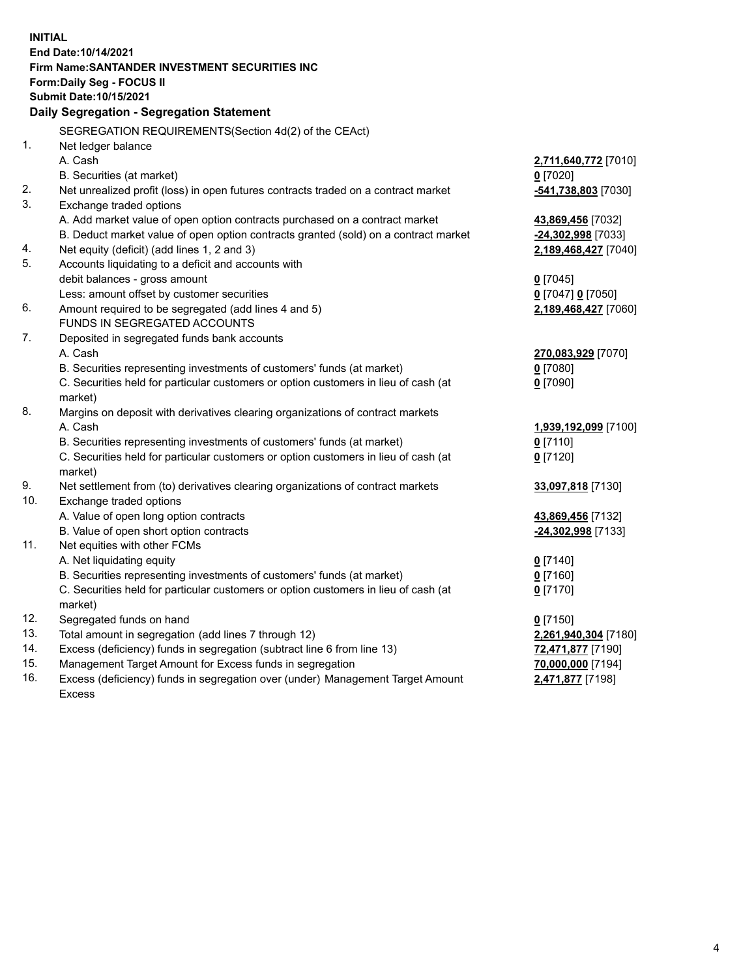| <b>INITIAL</b> |                                                                                     |                      |  |  |  |
|----------------|-------------------------------------------------------------------------------------|----------------------|--|--|--|
|                | End Date: 10/14/2021                                                                |                      |  |  |  |
|                | <b>Firm Name: SANTANDER INVESTMENT SECURITIES INC</b>                               |                      |  |  |  |
|                | Form: Daily Seg - FOCUS II                                                          |                      |  |  |  |
|                | Submit Date: 10/15/2021                                                             |                      |  |  |  |
|                | <b>Daily Segregation - Segregation Statement</b>                                    |                      |  |  |  |
|                | SEGREGATION REQUIREMENTS(Section 4d(2) of the CEAct)                                |                      |  |  |  |
| 1.             | Net ledger balance                                                                  |                      |  |  |  |
|                | A. Cash                                                                             | 2,711,640,772 [7010] |  |  |  |
|                | B. Securities (at market)                                                           | $0$ [7020]           |  |  |  |
| 2.             | Net unrealized profit (loss) in open futures contracts traded on a contract market  | -541,738,803 [7030]  |  |  |  |
| 3.             | Exchange traded options                                                             |                      |  |  |  |
|                | A. Add market value of open option contracts purchased on a contract market         | 43,869,456 [7032]    |  |  |  |
|                | B. Deduct market value of open option contracts granted (sold) on a contract market | -24,302,998 [7033]   |  |  |  |
| 4.             | Net equity (deficit) (add lines 1, 2 and 3)                                         | 2,189,468,427 [7040] |  |  |  |
| 5.             | Accounts liquidating to a deficit and accounts with                                 |                      |  |  |  |
|                | debit balances - gross amount                                                       | $0$ [7045]           |  |  |  |
|                | Less: amount offset by customer securities                                          | 0 [7047] 0 [7050]    |  |  |  |
| 6.             | Amount required to be segregated (add lines 4 and 5)                                | 2,189,468,427 [7060] |  |  |  |
|                | FUNDS IN SEGREGATED ACCOUNTS                                                        |                      |  |  |  |
| 7.             | Deposited in segregated funds bank accounts                                         |                      |  |  |  |
|                | A. Cash                                                                             | 270,083,929 [7070]   |  |  |  |
|                | B. Securities representing investments of customers' funds (at market)              | $0$ [7080]           |  |  |  |
|                | C. Securities held for particular customers or option customers in lieu of cash (at | $0$ [7090]           |  |  |  |
|                | market)                                                                             |                      |  |  |  |
| 8.             | Margins on deposit with derivatives clearing organizations of contract markets      |                      |  |  |  |
|                | A. Cash                                                                             | 1,939,192,099 [7100] |  |  |  |
|                | B. Securities representing investments of customers' funds (at market)              | $0$ [7110]           |  |  |  |
|                | C. Securities held for particular customers or option customers in lieu of cash (at | $0$ [7120]           |  |  |  |
|                | market)                                                                             |                      |  |  |  |
| 9.             | Net settlement from (to) derivatives clearing organizations of contract markets     | 33,097,818 [7130]    |  |  |  |
| 10.            | Exchange traded options                                                             |                      |  |  |  |
|                | A. Value of open long option contracts                                              | 43,869,456 [7132]    |  |  |  |
|                | B. Value of open short option contracts                                             | -24,302,998 [7133]   |  |  |  |
| 11.            | Net equities with other FCMs                                                        |                      |  |  |  |
|                | A. Net liquidating equity                                                           | $0$ [7140]           |  |  |  |
|                | B. Securities representing investments of customers' funds (at market)              | $0$ [7160]           |  |  |  |
|                | C. Securities held for particular customers or option customers in lieu of cash (at | $0$ [7170]           |  |  |  |
|                | market)                                                                             |                      |  |  |  |
| 12.            | Segregated funds on hand                                                            | $0$ [7150]           |  |  |  |
| 13.            | Total amount in segregation (add lines 7 through 12)                                | 2,261,940,304 [7180] |  |  |  |
| 14.            | Excess (deficiency) funds in segregation (subtract line 6 from line 13)             | 72,471,877 [7190]    |  |  |  |
| 15.            | Management Target Amount for Excess funds in segregation                            | 70,000,000 [7194]    |  |  |  |
| 16.            | Excess (deficiency) funds in segregation over (under) Management Target Amount      | 2,471,877 [7198]     |  |  |  |
|                | <b>Excess</b>                                                                       |                      |  |  |  |